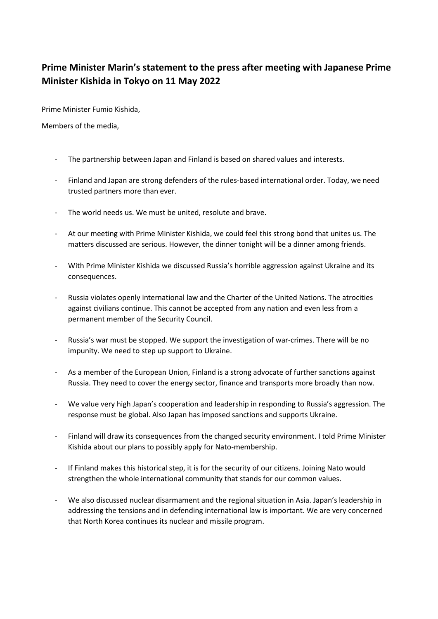## **Prime Minister Marin's statement to the press after meeting with Japanese Prime Minister Kishida in Tokyo on 11 May 2022**

Prime Minister Fumio Kishida,

Members of the media,

- The partnership between Japan and Finland is based on shared values and interests.
- Finland and Japan are strong defenders of the rules-based international order. Today, we need trusted partners more than ever.
- The world needs us. We must be united, resolute and brave.
- At our meeting with Prime Minister Kishida, we could feel this strong bond that unites us. The matters discussed are serious. However, the dinner tonight will be a dinner among friends.
- With Prime Minister Kishida we discussed Russia's horrible aggression against Ukraine and its consequences.
- Russia violates openly international law and the Charter of the United Nations. The atrocities against civilians continue. This cannot be accepted from any nation and even less from a permanent member of the Security Council.
- Russia's war must be stopped. We support the investigation of war-crimes. There will be no impunity. We need to step up support to Ukraine.
- As a member of the European Union, Finland is a strong advocate of further sanctions against Russia. They need to cover the energy sector, finance and transports more broadly than now.
- We value very high Japan's cooperation and leadership in responding to Russia's aggression. The response must be global. Also Japan has imposed sanctions and supports Ukraine.
- Finland will draw its consequences from the changed security environment. I told Prime Minister Kishida about our plans to possibly apply for Nato-membership.
- If Finland makes this historical step, it is for the security of our citizens. Joining Nato would strengthen the whole international community that stands for our common values.
- We also discussed nuclear disarmament and the regional situation in Asia. Japan's leadership in addressing the tensions and in defending international law is important. We are very concerned that North Korea continues its nuclear and missile program.